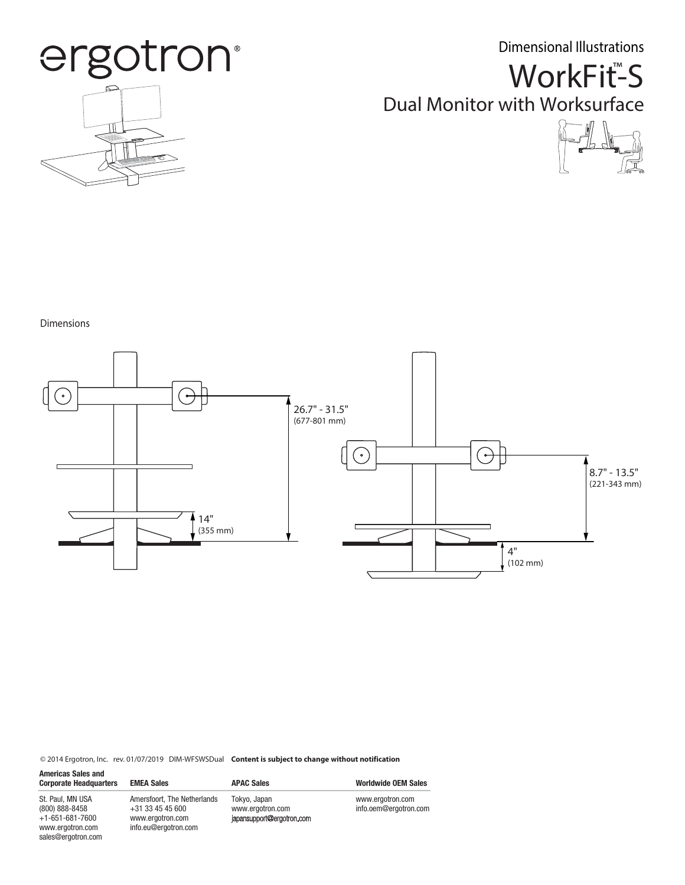Dimensional Illustrations



WorkFit<sup>™</sup>S Dual Monitor with Worksurface



Dimensions



© 2014 Ergotron, Inc. rev. 01/07/2019 DIM-WFSWSDual **Content is subject to change without notification**

| <b>Americas Sales and</b><br><b>Corporate Headquarters</b>                                                  | <b>EMEA Sales</b>                                                                             | <b>APAC Sales</b>                                             | <b>Worldwide OEM Sales</b>                |
|-------------------------------------------------------------------------------------------------------------|-----------------------------------------------------------------------------------------------|---------------------------------------------------------------|-------------------------------------------|
| St. Paul, MN USA<br>$(800) 888 - 8458$<br>$+1 - 651 - 681 - 7600$<br>www.ergotron.com<br>sales@ergotron.com | Amersfoort. The Netherlands<br>$+31$ 33 45 45 600<br>www.ergotron.com<br>info.eu@ergotron.com | Tokyo, Japan<br>www.ergotron.com<br>japansupport@ergotron.com | www.ergotron.com<br>info.oem@ergotron.com |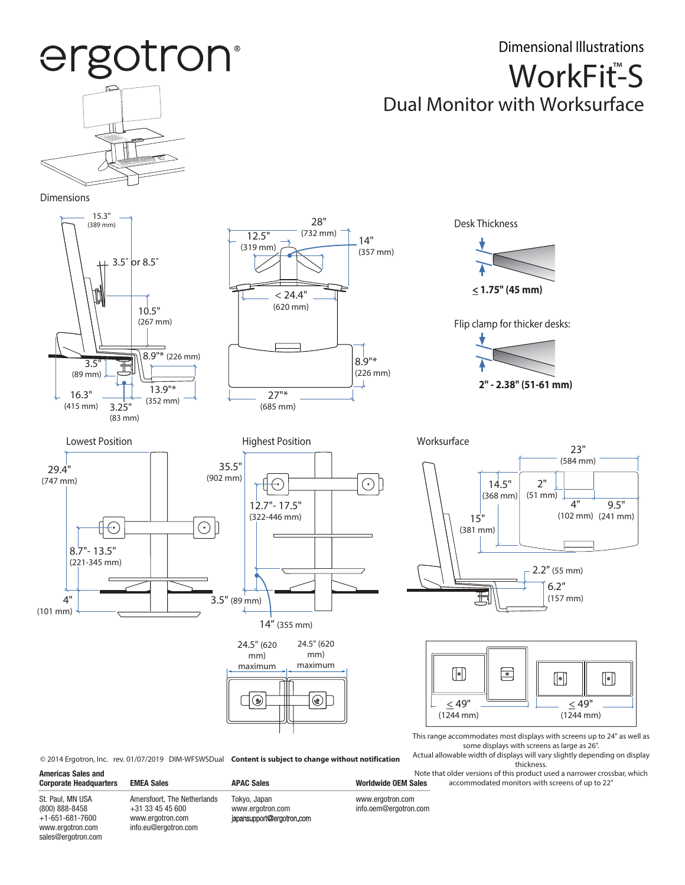## Dimensional Illustrations ergotron® WorkFit<sup>™</sup>S Dual Monitor with Worksurface Dimensions 15.3" 28" Desk Thickness (389 mm)  $\overline{12.5"}$  (732 mm) 14" (319 mm) (357 mm) 3.5˚ or 8.5˚ **< 1.75" (45 mm)**  $< 24.4"$ (620 mm) 10.5" (267 mm) Flip clamp for thicker desks:  $\frac{8.9^{1*} (226 \text{ mm})}{1}$ 8.9"\* (226 mm) (89 mm) **2" - 2.38" (51-61 mm)**13.9"\* 27"\* 16.3" (352 mm) (415 mm) 3.25" (685 mm) (83 mm) Lowest Position **Matter Contract Position** Highest Position **Matter Contract Position** Worksurface 23" (584 mm) 35.5" 29.4" (902 mm) (747 mm)  $\odot$ 2"  $\left(\begin{smallmatrix} \circ \\ \circ \end{smallmatrix}\right)$ 14.5" (368 mm) (51 mm) 4" 12.7"- 17.5" 9.5" (322-446 mm) (102 mm) (241 mm) 15"  $\odot$   $\overline{\phantom{a}}$ ⊖ (381 mm) 8.7"- 13.5" (221-345 mm) 2.2" (55 mm) 6.2" 圡 (157 mm) 4" 3.5" (89 mm) (101 mm) 14" (355 mm) 24.5" (620 24.5" (620 mm) mm) maximum maximum  $\lceil |\bullet| \rceil$  $\boxed{\bullet}$  $\lceil |\bullet| \rceil$  $\left[\left|\bullet\right|\right]$  $\circledcirc$  $\square$  $\leq 49"$  $\leq 49'$ (1244 mm) (1244 mm) This range accommodates most displays with screens up to 24" as well as some displays with screens as large as 26". Actual allowable width of displays will vary slightly depending on display

© 2014 Ergotron, Inc. rev. 01/07/2019 DIM-WFSWSDual **Content is subject to change without notification**

**Corporate Headquarters EMEA Sales APAC Sales APAC Sales Worldwide OEM Sales** 

www.ergotron.com info.oem@ergotron.com

Note that older versions of this product used a narrower crossbar, which accommodated monitors with screens of up to 22"

thickness.

St. Paul, MN USA (800) 888-8458 +1-651-681-7600 www.ergotron.com sales@ergotron.com

**Americas Sales and** 

Amersfoort, The Netherlands +31 33 45 45 600 www.ergotron.com info.eu@ergotron.com

Tokyo, Japan www.ergotron.com<br>japansupport@ergotron.com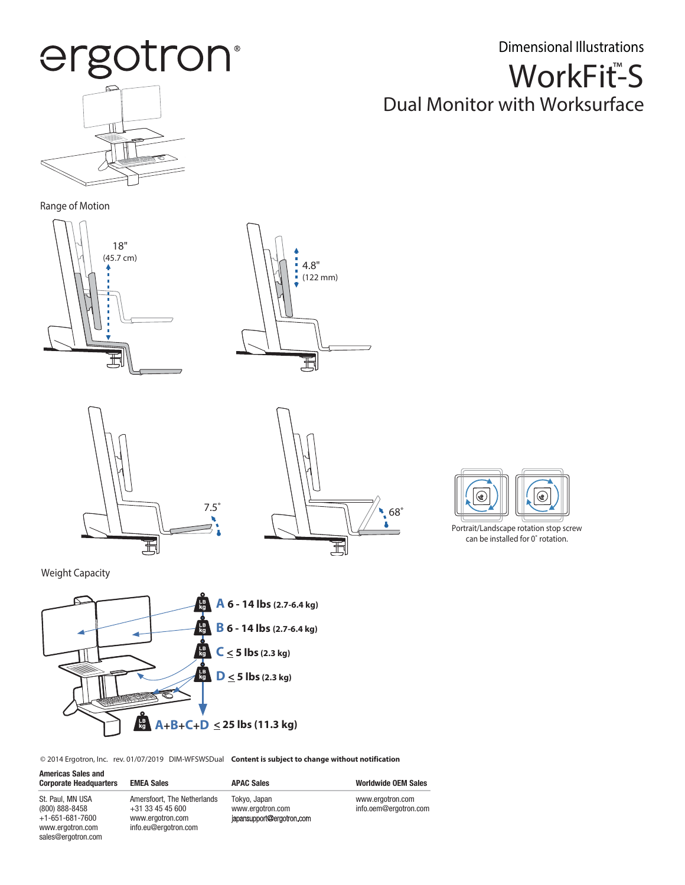ergotron®

WorkFit<sup>™</sup>S Dimensional Illustrations

## Dual Monitor with Worksurface

Range of Motion











Portrait/Landscape rotation stop screw can be installed for 0˚ rotation.

Weight Capacity



© 2014 Ergotron, Inc. rev. 01/07/2019 DIM-WFSWSDual **Content is subject to change without notification**

| <b>Americas Sales and</b><br><b>Corporate Headquarters</b>                                                  | <b>EMEA Sales</b>                                                                             | <b>APAC Sales</b>                                             | <b>Worldwide OEM Sales</b>                |
|-------------------------------------------------------------------------------------------------------------|-----------------------------------------------------------------------------------------------|---------------------------------------------------------------|-------------------------------------------|
| St. Paul, MN USA<br>$(800) 888 - 8458$<br>$+1 - 651 - 681 - 7600$<br>www.ergotron.com<br>sales@ergotron.com | Amersfoort, The Netherlands<br>$+31$ 33 45 45 600<br>www.ergotron.com<br>info.eu@ergotron.com | Tokyo, Japan<br>www.ergotron.com<br>japansupport@ergotron.com | www.ergotron.com<br>info.oem@ergotron.com |